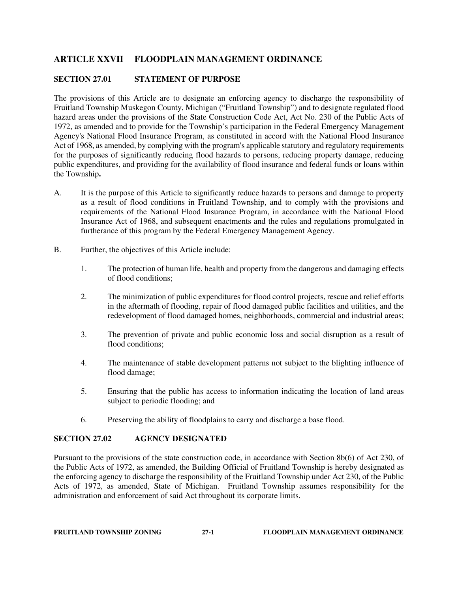# **ARTICLE XXVII FLOODPLAIN MANAGEMENT ORDINANCE**

## **SECTION 27.01 STATEMENT OF PURPOSE**

The provisions of this Article are to designate an enforcing agency to discharge the responsibility of Fruitland Township Muskegon County, Michigan ("Fruitland Township") and to designate regulated flood hazard areas under the provisions of the State Construction Code Act, Act No. 230 of the Public Acts of 1972, as amended and to provide for the Township's participation in the Federal Emergency Management Agency's National Flood Insurance Program, as constituted in accord with the National Flood Insurance Act of 1968, as amended, by complying with the program's applicable statutory and regulatory requirements for the purposes of significantly reducing flood hazards to persons, reducing property damage, reducing public expenditures, and providing for the availability of flood insurance and federal funds or loans within the Township**.** 

- A. It is the purpose of this Article to significantly reduce hazards to persons and damage to property as a result of flood conditions in Fruitland Township, and to comply with the provisions and requirements of the National Flood Insurance Program, in accordance with the National Flood Insurance Act of 1968, and subsequent enactments and the rules and regulations promulgated in furtherance of this program by the Federal Emergency Management Agency.
- B. Further, the objectives of this Article include:
	- 1. The protection of human life, health and property from the dangerous and damaging effects of flood conditions;
	- 2. The minimization of public expenditures for flood control projects, rescue and relief efforts in the aftermath of flooding, repair of flood damaged public facilities and utilities, and the redevelopment of flood damaged homes, neighborhoods, commercial and industrial areas;
	- 3. The prevention of private and public economic loss and social disruption as a result of flood conditions;
	- 4. The maintenance of stable development patterns not subject to the blighting influence of flood damage;
	- 5. Ensuring that the public has access to information indicating the location of land areas subject to periodic flooding; and
	- 6. Preserving the ability of floodplains to carry and discharge a base flood.

### **SECTION 27.02 AGENCY DESIGNATED**

Pursuant to the provisions of the state construction code, in accordance with Section 8b(6) of Act 230, of the Public Acts of 1972, as amended, the Building Official of Fruitland Township is hereby designated as the enforcing agency to discharge the responsibility of the Fruitland Township under Act 230, of the Public Acts of 1972, as amended, State of Michigan. Fruitland Township assumes responsibility for the administration and enforcement of said Act throughout its corporate limits.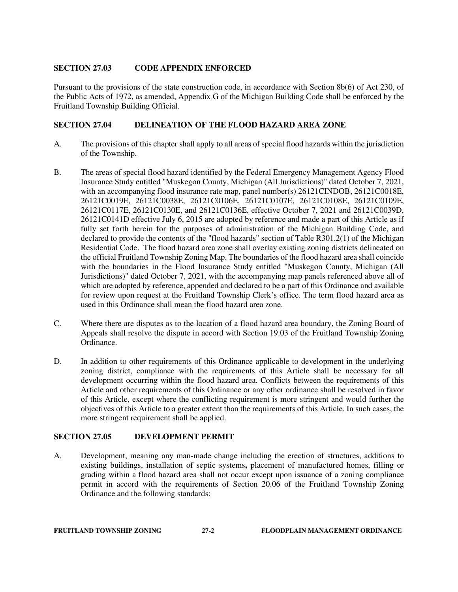# **SECTION 27.03 CODE APPENDIX ENFORCED**

Pursuant to the provisions of the state construction code, in accordance with Section 8b(6) of Act 230, of the Public Acts of 1972, as amended, Appendix G of the Michigan Building Code shall be enforced by the Fruitland Township Building Official.

# **SECTION 27.04 DELINEATION OF THE FLOOD HAZARD AREA ZONE**

- A. The provisions of this chapter shall apply to all areas of special flood hazards within the jurisdiction of the Township.
- B. The areas of special flood hazard identified by the Federal Emergency Management Agency Flood Insurance Study entitled "Muskegon County, Michigan (All Jurisdictions)" dated October 7, 2021, with an accompanying flood insurance rate map, panel number(s) 26121CINDOB, 26121C0018E, 26121C0019E, 26121C0038E, 26121C0106E, 26121C0107E, 26121C0108E, 26121C0109E, 26121C0117E, 26121C0130E, and 26121C0136E, effective October 7, 2021 and 26121C0039D, 26121C0141D effective July 6, 2015 are adopted by reference and made a part of this Article as if fully set forth herein for the purposes of administration of the Michigan Building Code, and declared to provide the contents of the "flood hazards" section of Table R301.2(1) of the Michigan Residential Code. The flood hazard area zone shall overlay existing zoning districts delineated on the official Fruitland Township Zoning Map. The boundaries of the flood hazard area shall coincide with the boundaries in the Flood Insurance Study entitled "Muskegon County, Michigan (All Jurisdictions)" dated October 7, 2021, with the accompanying map panels referenced above all of which are adopted by reference, appended and declared to be a part of this Ordinance and available for review upon request at the Fruitland Township Clerk's office. The term flood hazard area as used in this Ordinance shall mean the flood hazard area zone.
- C. Where there are disputes as to the location of a flood hazard area boundary, the Zoning Board of Appeals shall resolve the dispute in accord with Section 19.03 of the Fruitland Township Zoning Ordinance.
- D. In addition to other requirements of this Ordinance applicable to development in the underlying zoning district, compliance with the requirements of this Article shall be necessary for all development occurring within the flood hazard area. Conflicts between the requirements of this Article and other requirements of this Ordinance or any other ordinance shall be resolved in favor of this Article, except where the conflicting requirement is more stringent and would further the objectives of this Article to a greater extent than the requirements of this Article. In such cases, the more stringent requirement shall be applied.

### **SECTION 27.05 DEVELOPMENT PERMIT**

A. Development, meaning any man-made change including the erection of structures, additions to existing buildings, installation of septic systems**,** placement of manufactured homes, filling or grading within a flood hazard area shall not occur except upon issuance of a zoning compliance permit in accord with the requirements of Section 20.06 of the Fruitland Township Zoning Ordinance and the following standards: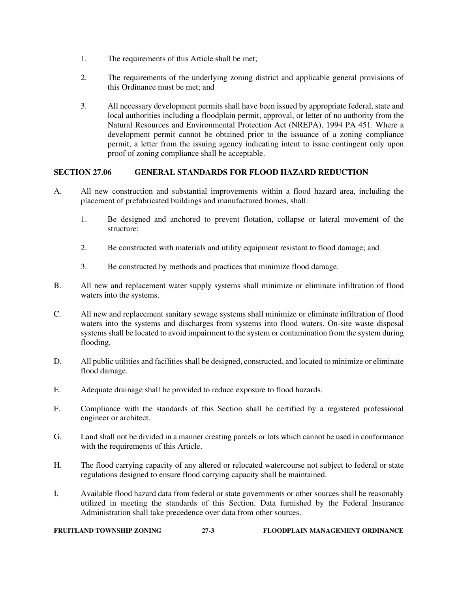- 1. The requirements of this Article shall be met;
- 2. The requirements of the underlying zoning district and applicable general provisions of this Ordinance must be met; and
- 3. All necessary development permits shall have been issued by appropriate federal, state and local authorities including a floodplain permit, approval, or letter of no authority from the Natural Resources and Environmental Protection Act (NREPA), 1994 PA 451. Where a development permit cannot be obtained prior to the issuance of a zoning compliance permit, a letter from the issuing agency indicating intent to issue contingent only upon proof of zoning compliance shall be acceptable.

# **SECTION 27.06 GENERAL STANDARDS FOR FLOOD HAZARD REDUCTION**

- A. All new construction and substantial improvements within a flood hazard area, including the placement of prefabricated buildings and manufactured homes, shall:
	- 1. Be designed and anchored to prevent flotation, collapse or lateral movement of the structure;
	- 2. Be constructed with materials and utility equipment resistant to flood damage; and
	- 3. Be constructed by methods and practices that minimize flood damage.
- B. All new and replacement water supply systems shall minimize or eliminate infiltration of flood waters into the systems.
- C. All new and replacement sanitary sewage systems shall minimize or eliminate infiltration of flood waters into the systems and discharges from systems into flood waters. On-site waste disposal systems shall be located to avoid impairment to the system or contamination from the system during flooding.
- D. All public utilities and facilities shall be designed, constructed, and located to minimize or eliminate flood damage.
- E. Adequate drainage shall be provided to reduce exposure to flood hazards.
- F. Compliance with the standards of this Section shall be certified by a registered professional engineer or architect.
- G. Land shall not be divided in a manner creating parcels or lots which cannot be used in conformance with the requirements of this Article.
- H. The flood carrying capacity of any altered or relocated watercourse not subject to federal or state regulations designed to ensure flood carrying capacity shall be maintained.
- I. Available flood hazard data from federal or state governments or other sources shall be reasonably utilized in meeting the standards of this Section. Data furnished by the Federal Insurance Administration shall take precedence over data from other sources.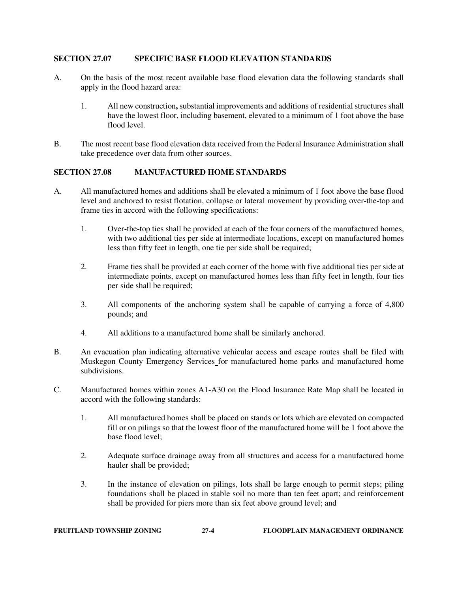# **SECTION 27.07 SPECIFIC BASE FLOOD ELEVATION STANDARDS**

- A. On the basis of the most recent available base flood elevation data the following standards shall apply in the flood hazard area:
	- 1. All new construction**,** substantial improvements and additions of residential structures shall have the lowest floor, including basement, elevated to a minimum of 1 foot above the base flood level.
- B. The most recent base flood elevation data received from the Federal Insurance Administration shall take precedence over data from other sources.

### **SECTION 27.08 MANUFACTURED HOME STANDARDS**

- A. All manufactured homes and additions shall be elevated a minimum of 1 foot above the base flood level and anchored to resist flotation, collapse or lateral movement by providing over-the-top and frame ties in accord with the following specifications:
	- 1. Over-the-top ties shall be provided at each of the four corners of the manufactured homes, with two additional ties per side at intermediate locations, except on manufactured homes less than fifty feet in length, one tie per side shall be required;
	- 2. Frame ties shall be provided at each corner of the home with five additional ties per side at intermediate points, except on manufactured homes less than fifty feet in length, four ties per side shall be required;
	- 3. All components of the anchoring system shall be capable of carrying a force of 4,800 pounds; and
	- 4. All additions to a manufactured home shall be similarly anchored.
- B. An evacuation plan indicating alternative vehicular access and escape routes shall be filed with Muskegon County Emergency Services for manufactured home parks and manufactured home subdivisions.
- C. Manufactured homes within zones A1-A30 on the Flood Insurance Rate Map shall be located in accord with the following standards:
	- 1. All manufactured homes shall be placed on stands or lots which are elevated on compacted fill or on pilings so that the lowest floor of the manufactured home will be 1 foot above the base flood level;
	- 2. Adequate surface drainage away from all structures and access for a manufactured home hauler shall be provided;
	- 3. In the instance of elevation on pilings, lots shall be large enough to permit steps; piling foundations shall be placed in stable soil no more than ten feet apart; and reinforcement shall be provided for piers more than six feet above ground level; and

| <b>FRUITLAND TOWNSHIP ZONING</b> |  | $27-4$ | <b>FLOODPLAIN MANAGEMENT ORDINANCE</b> |
|----------------------------------|--|--------|----------------------------------------|
|----------------------------------|--|--------|----------------------------------------|